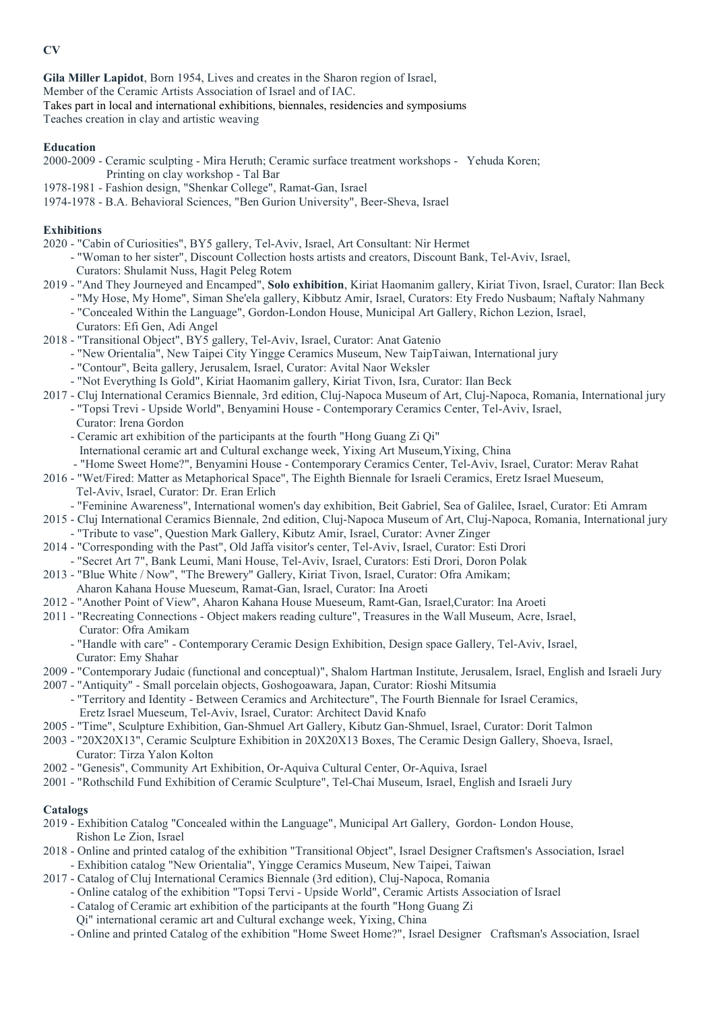**CV**

**Gila Miller Lapidot**, Born 1954, Lives and creates in the Sharon region of Israel, Member of the Ceramic Artists Association of Israel and of IAC. Takes part in local and international exhibitions, biennales, residencies and symposiums Teaches creation in clay and artistic weaving

### **Education**

- 2000-2009 Ceramic sculpting Mira Heruth; Ceramic surface treatment workshops Yehuda Koren; Printing on clay workshop - Tal Bar
- 1978-1981 Fashion design, "Shenkar College", Ramat-Gan, Israel
- 1974-1978 B.A. Behavioral Sciences, "Ben Gurion University", Beer-Sheva, Israel

## **Exhibitions**

- 2020 "Cabin of Curiosities", BY5 gallery, Tel-Aviv, Israel, Art Consultant: Nir Hermet
	- "Woman to her sister", Discount Collection hosts artists and creators, Discount Bank, Tel-Aviv, Israel, Curators: Shulamit Nuss, Hagit Peleg Rotem
- 2019 "And They Journeyed and Encamped", **Solo exhibition**, Kiriat Haomanim gallery, Kiriat Tivon, Israel, Curator: Ilan Beck
	- "My Hose, My Home", Siman She'ela gallery, Kibbutz Amir, Israel, Curators: Ety Fredo Nusbaum; Naftaly Nahmany
	- "Concealed Within the Language", Gordon-London House, Municipal Art Gallery, Richon Lezion, Israel, Curators: Efi Gen, Adi Angel
- 2018 "Transitional Object", BY5 gallery, Tel-Aviv, Israel, Curator: Anat Gatenio
	- "New Orientalia", New Taipei City Yingge Ceramics Museum, New TaipTaiwan, International jury
	- "Contour", Beita gallery, Jerusalem, Israel, Curator: Avital Naor Weksler
	- "Not Everything Is Gold", Kiriat Haomanim gallery, Kiriat Tivon, Isra, Curator: Ilan Beck
- 2017 Cluj International Ceramics Biennale, 3rd edition, Cluj-Napoca Museum of Art, Cluj-Napoca, Romania, International jury - "Topsi Trevi - Upside World", Benyamini House - Contemporary Ceramics Center, Tel-Aviv, Israel,
	- Curator: Irena Gordon
	- Ceramic art exhibition of the participants at the fourth "Hong Guang Zi Qi" International ceramic art and Cultural exchange week, Yixing Art Museum,Yixing, China - "Home Sweet Home?", Benyamini House - Contemporary Ceramics Center, Tel-Aviv, Israel, Curator: Merav Rahat
- 2016 "Wet/Fired: Matter as Metaphorical Space", The Eighth Biennale for Israeli Ceramics, Eretz Israel Mueseum, Tel-Aviv, Israel, Curator: Dr. Eran Erlich
	- "Feminine Awareness", International women's day exhibition, Beit Gabriel, Sea of Galilee, Israel, Curator: Eti Amram
- 2015 Cluj International Ceramics Biennale, 2nd edition, Cluj-Napoca Museum of Art, Cluj-Napoca, Romania, International jury - "Tribute to vase", Question Mark Gallery, Kibutz Amir, Israel, Curator: Avner Zinger
- 2014 "Corresponding with the Past", Old Jaffa visitor's center, Tel-Aviv, Israel, Curator: Esti Drori - "Secret Art 7", Bank Leumi, Mani House, Tel-Aviv, Israel, Curators: Esti Drori, Doron Polak
- 2013 "Blue White / Now", "The Brewery" Gallery, Kiriat Tivon, Israel, Curator: Ofra Amikam;
	- Aharon Kahana House Mueseum, Ramat-Gan, Israel, Curator: Ina Aroeti
- 2012 "Another Point of View", Aharon Kahana House Mueseum, Ramt-Gan, Israel,Curator: Ina Aroeti
- 2011 "Recreating Connections Object makers reading culture", Treasures in the Wall Museum, Acre, Israel, Curator: Ofra Amikam
	- "Handle with care" Contemporary Ceramic Design Exhibition, Design space Gallery, Tel-Aviv, Israel, Curator: Emy Shahar
- 2009 "Contemporary Judaic (functional and conceptual)", Shalom Hartman Institute, Jerusalem, Israel, English and Israeli Jury
- 2007 "Antiquity" Small porcelain objects, Goshogoawara, Japan, Curator: Rioshi Mitsumia
	- "Territory and Identity Between Ceramics and Architecture", The Fourth Biennale for Israel Ceramics, Eretz Israel Mueseum, Tel-Aviv, Israel, Curator: Architect David Knafo
- 2005 "Time", Sculpture Exhibition, Gan-Shmuel Art Gallery, Kibutz Gan-Shmuel, Israel, Curator: Dorit Talmon
- 2003 "20X20X13", Ceramic Sculpture Exhibition in 20X20X13 Boxes, The Ceramic Design Gallery, Shoeva, Israel, Curator: Tirza Yalon Kolton
- 2002 "Genesis", Community Art Exhibition, Or-Aquiva Cultural Center, Or-Aquiva, Israel
- 2001 "Rothschild Fund Exhibition of Ceramic Sculpture", Tel-Chai Museum, Israel, English and Israeli Jury

# **Catalogs**

- 2019 Exhibition Catalog "Concealed within the Language", Municipal Art Gallery, Gordon- London House, Rishon Le Zion, Israel
- 2018 Online and printed catalog of the exhibition "Transitional Object", Israel Designer Craftsmen's Association, Israel - Exhibition catalog "New Orientalia", Yingge Ceramics Museum, New Taipei, Taiwan
- 2017 Catalog of Cluj International Ceramics Biennale (3rd edition), Cluj-Napoca, Romania
	- Online catalog of the exhibition "Topsi Tervi Upside World", Ceramic Artists Association of Israel
	- Catalog of Ceramic art exhibition of the participants at the fourth "Hong Guang Zi
	- Qi" international ceramic art and Cultural exchange week, Yixing, China
	- Online and printed Catalog of the exhibition "Home Sweet Home?", Israel Designer Craftsman's Association, Israel